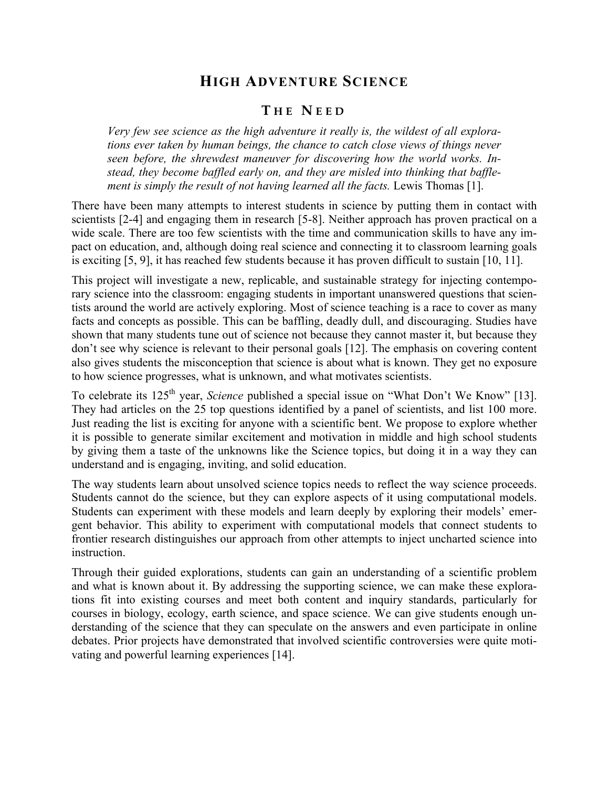## **HIGH ADVENTURE SCIENCE**

### **T HE N EED**

*Very few see science as the high adventure it really is, the wildest of all explorations ever taken by human beings, the chance to catch close views of things never seen before, the shrewdest maneuver for discovering how the world works. Instead, they become baffled early on, and they are misled into thinking that bafflement is simply the result of not having learned all the facts.* Lewis Thomas [1].

There have been many attempts to interest students in science by putting them in contact with scientists [2-4] and engaging them in research [5-8]. Neither approach has proven practical on a wide scale. There are too few scientists with the time and communication skills to have any impact on education, and, although doing real science and connecting it to classroom learning goals is exciting [5, 9], it has reached few students because it has proven difficult to sustain [10, 11].

This project will investigate a new, replicable, and sustainable strategy for injecting contemporary science into the classroom: engaging students in important unanswered questions that scientists around the world are actively exploring. Most of science teaching is a race to cover as many facts and concepts as possible. This can be baffling, deadly dull, and discouraging. Studies have shown that many students tune out of science not because they cannot master it, but because they don't see why science is relevant to their personal goals [12]. The emphasis on covering content also gives students the misconception that science is about what is known. They get no exposure to how science progresses, what is unknown, and what motivates scientists.

To celebrate its 125<sup>th</sup> vear, *Science* published a special issue on "What Don't We Know" [13]. They had articles on the 25 top questions identified by a panel of scientists, and list 100 more. Just reading the list is exciting for anyone with a scientific bent. We propose to explore whether it is possible to generate similar excitement and motivation in middle and high school students by giving them a taste of the unknowns like the Science topics, but doing it in a way they can understand and is engaging, inviting, and solid education.

The way students learn about unsolved science topics needs to reflect the way science proceeds. Students cannot do the science, but they can explore aspects of it using computational models. Students can experiment with these models and learn deeply by exploring their models' emergent behavior. This ability to experiment with computational models that connect students to frontier research distinguishes our approach from other attempts to inject uncharted science into instruction.

Through their guided explorations, students can gain an understanding of a scientific problem and what is known about it. By addressing the supporting science, we can make these explorations fit into existing courses and meet both content and inquiry standards, particularly for courses in biology, ecology, earth science, and space science. We can give students enough understanding of the science that they can speculate on the answers and even participate in online debates. Prior projects have demonstrated that involved scientific controversies were quite motivating and powerful learning experiences [14].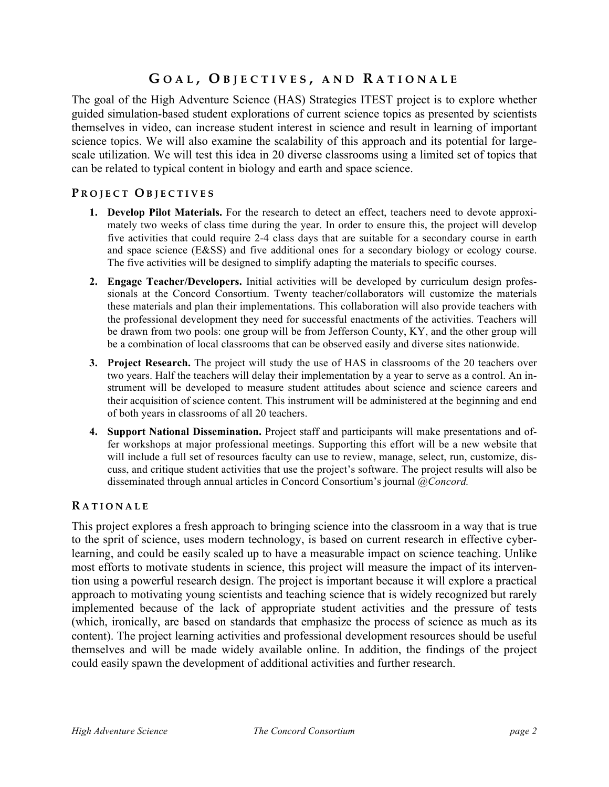# **G OAL , O BJECTIVES , AND R ATIONALE**

The goal of the High Adventure Science (HAS) Strategies ITEST project is to explore whether guided simulation-based student explorations of current science topics as presented by scientists themselves in video, can increase student interest in science and result in learning of important science topics. We will also examine the scalability of this approach and its potential for largescale utilization. We will test this idea in 20 diverse classrooms using a limited set of topics that can be related to typical content in biology and earth and space science.

#### **P ROJECT O BJECTIVES**

- **1. Develop Pilot Materials.** For the research to detect an effect, teachers need to devote approximately two weeks of class time during the year. In order to ensure this, the project will develop five activities that could require 2-4 class days that are suitable for a secondary course in earth and space science (E&SS) and five additional ones for a secondary biology or ecology course. The five activities will be designed to simplify adapting the materials to specific courses.
- **2. Engage Teacher/Developers.** Initial activities will be developed by curriculum design professionals at the Concord Consortium. Twenty teacher/collaborators will customize the materials these materials and plan their implementations. This collaboration will also provide teachers with the professional development they need for successful enactments of the activities. Teachers will be drawn from two pools: one group will be from Jefferson County, KY, and the other group will be a combination of local classrooms that can be observed easily and diverse sites nationwide.
- **3. Project Research.** The project will study the use of HAS in classrooms of the 20 teachers over two years. Half the teachers will delay their implementation by a year to serve as a control. An instrument will be developed to measure student attitudes about science and science careers and their acquisition of science content. This instrument will be administered at the beginning and end of both years in classrooms of all 20 teachers.
- **4. Support National Dissemination.** Project staff and participants will make presentations and offer workshops at major professional meetings. Supporting this effort will be a new website that will include a full set of resources faculty can use to review, manage, select, run, customize, discuss, and critique student activities that use the project's software. The project results will also be disseminated through annual articles in Concord Consortium's journal *@Concord.*

### **R ATIONALE**

This project explores a fresh approach to bringing science into the classroom in a way that is true to the sprit of science, uses modern technology, is based on current research in effective cyberlearning, and could be easily scaled up to have a measurable impact on science teaching. Unlike most efforts to motivate students in science, this project will measure the impact of its intervention using a powerful research design. The project is important because it will explore a practical approach to motivating young scientists and teaching science that is widely recognized but rarely implemented because of the lack of appropriate student activities and the pressure of tests (which, ironically, are based on standards that emphasize the process of science as much as its content). The project learning activities and professional development resources should be useful themselves and will be made widely available online. In addition, the findings of the project could easily spawn the development of additional activities and further research.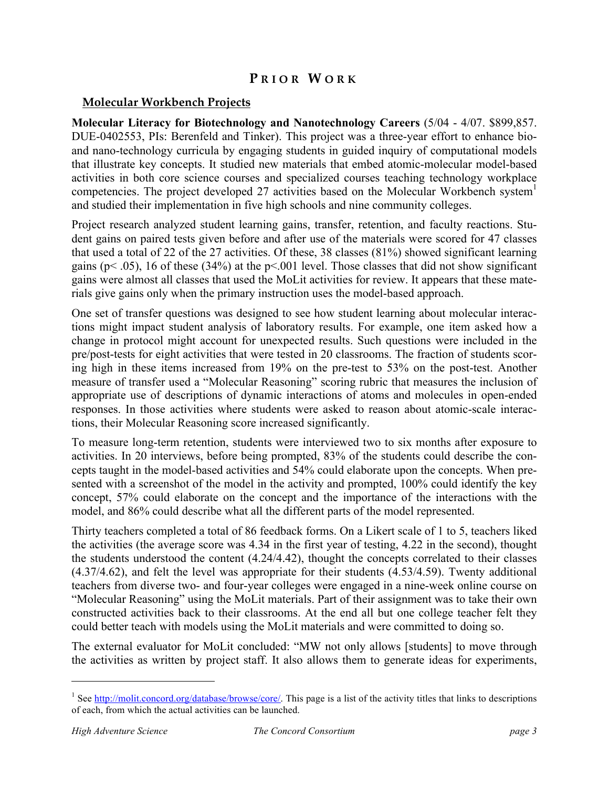## **P RIOR W ORK**

### **Molecular Workbench Projects**

**Molecular Literacy for Biotechnology and Nanotechnology Careers** (5/04 - 4/07. \$899,857. DUE-0402553, PIs: Berenfeld and Tinker). This project was a three-year effort to enhance bioand nano-technology curricula by engaging students in guided inquiry of computational models that illustrate key concepts. It studied new materials that embed atomic-molecular model-based activities in both core science courses and specialized courses teaching technology workplace competencies. The project developed 27 activities based on the Molecular Workbench system<sup>1</sup> and studied their implementation in five high schools and nine community colleges.

Project research analyzed student learning gains, transfer, retention, and faculty reactions. Student gains on paired tests given before and after use of the materials were scored for 47 classes that used a total of 22 of the 27 activities. Of these, 38 classes (81%) showed significant learning gains ( $p$ < .05), 16 of these (34%) at the  $p$ <.001 level. Those classes that did not show significant gains were almost all classes that used the MoLit activities for review. It appears that these materials give gains only when the primary instruction uses the model-based approach.

One set of transfer questions was designed to see how student learning about molecular interactions might impact student analysis of laboratory results. For example, one item asked how a change in protocol might account for unexpected results. Such questions were included in the pre/post-tests for eight activities that were tested in 20 classrooms. The fraction of students scoring high in these items increased from 19% on the pre-test to 53% on the post-test. Another measure of transfer used a "Molecular Reasoning" scoring rubric that measures the inclusion of appropriate use of descriptions of dynamic interactions of atoms and molecules in open-ended responses. In those activities where students were asked to reason about atomic-scale interactions, their Molecular Reasoning score increased significantly.

To measure long-term retention, students were interviewed two to six months after exposure to activities. In 20 interviews, before being prompted, 83% of the students could describe the concepts taught in the model-based activities and 54% could elaborate upon the concepts. When presented with a screenshot of the model in the activity and prompted, 100% could identify the key concept, 57% could elaborate on the concept and the importance of the interactions with the model, and 86% could describe what all the different parts of the model represented.

Thirty teachers completed a total of 86 feedback forms. On a Likert scale of 1 to 5, teachers liked the activities (the average score was 4.34 in the first year of testing, 4.22 in the second), thought the students understood the content (4.24/4.42), thought the concepts correlated to their classes (4.37/4.62), and felt the level was appropriate for their students (4.53/4.59). Twenty additional teachers from diverse two- and four-year colleges were engaged in a nine-week online course on "Molecular Reasoning" using the MoLit materials. Part of their assignment was to take their own constructed activities back to their classrooms. At the end all but one college teacher felt they could better teach with models using the MoLit materials and were committed to doing so.

The external evaluator for MoLit concluded: "MW not only allows [students] to move through the activities as written by project staff. It also allows them to generate ideas for experiments,

 $\overline{a}$ 

<sup>&</sup>lt;sup>1</sup> See http://molit.concord.org/database/browse/core/. This page is a list of the activity titles that links to descriptions of each, from which the actual activities can be launched.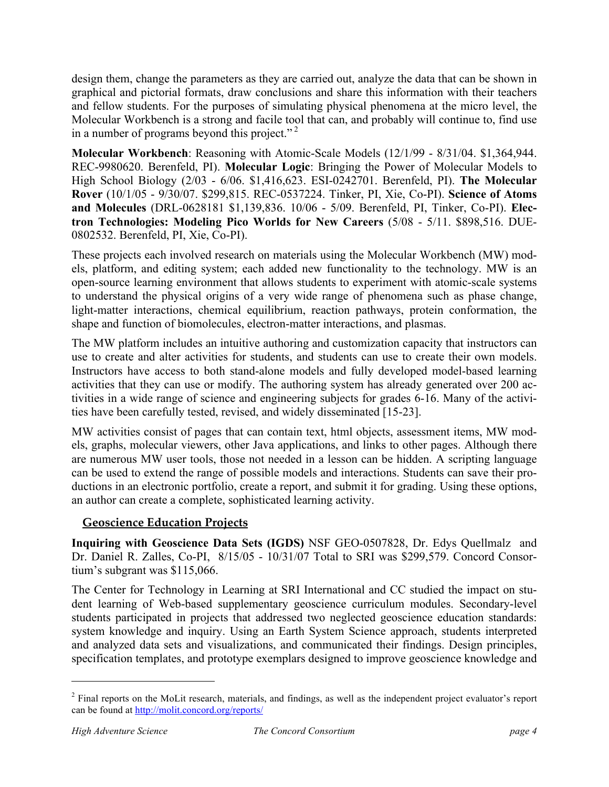design them, change the parameters as they are carried out, analyze the data that can be shown in graphical and pictorial formats, draw conclusions and share this information with their teachers and fellow students. For the purposes of simulating physical phenomena at the micro level, the Molecular Workbench is a strong and facile tool that can, and probably will continue to, find use in a number of programs beyond this project."<sup>2</sup>

**Molecular Workbench**: Reasoning with Atomic-Scale Models (12/1/99 - 8/31/04. \$1,364,944. REC-9980620. Berenfeld, PI). **Molecular Logic**: Bringing the Power of Molecular Models to High School Biology (2/03 - 6/06. \$1,416,623. ESI-0242701. Berenfeld, PI). **The Molecular Rover** (10/1/05 - 9/30/07. \$299,815. REC-0537224. Tinker, PI, Xie, Co-PI). **Science of Atoms and Molecules** (DRL-0628181 \$1,139,836. 10/06 - 5/09. Berenfeld, PI, Tinker, Co-PI). **Electron Technologies: Modeling Pico Worlds for New Careers** (5/08 - 5/11. \$898,516. DUE-0802532. Berenfeld, PI, Xie, Co-PI).

These projects each involved research on materials using the Molecular Workbench (MW) models, platform, and editing system; each added new functionality to the technology. MW is an open-source learning environment that allows students to experiment with atomic-scale systems to understand the physical origins of a very wide range of phenomena such as phase change, light-matter interactions, chemical equilibrium, reaction pathways, protein conformation, the shape and function of biomolecules, electron-matter interactions, and plasmas.

The MW platform includes an intuitive authoring and customization capacity that instructors can use to create and alter activities for students, and students can use to create their own models. Instructors have access to both stand-alone models and fully developed model-based learning activities that they can use or modify. The authoring system has already generated over 200 activities in a wide range of science and engineering subjects for grades 6-16. Many of the activities have been carefully tested, revised, and widely disseminated [15-23].

MW activities consist of pages that can contain text, html objects, assessment items, MW models, graphs, molecular viewers, other Java applications, and links to other pages. Although there are numerous MW user tools, those not needed in a lesson can be hidden. A scripting language can be used to extend the range of possible models and interactions. Students can save their productions in an electronic portfolio, create a report, and submit it for grading. Using these options, an author can create a complete, sophisticated learning activity.

## **Geoscience Education Projects**

**Inquiring with Geoscience Data Sets (IGDS)** NSF GEO-0507828, Dr. Edys Quellmalz and Dr. Daniel R. Zalles, Co-PI, 8/15/05 - 10/31/07 Total to SRI was \$299,579. Concord Consortium's subgrant was \$115,066.

The Center for Technology in Learning at SRI International and CC studied the impact on student learning of Web-based supplementary geoscience curriculum modules. Secondary-level students participated in projects that addressed two neglected geoscience education standards: system knowledge and inquiry. Using an Earth System Science approach, students interpreted and analyzed data sets and visualizations, and communicated their findings. Design principles, specification templates, and prototype exemplars designed to improve geoscience knowledge and

 $\overline{a}$ 

 $2$  Final reports on the MoLit research, materials, and findings, as well as the independent project evaluator's report can be found at http://molit.concord.org/reports/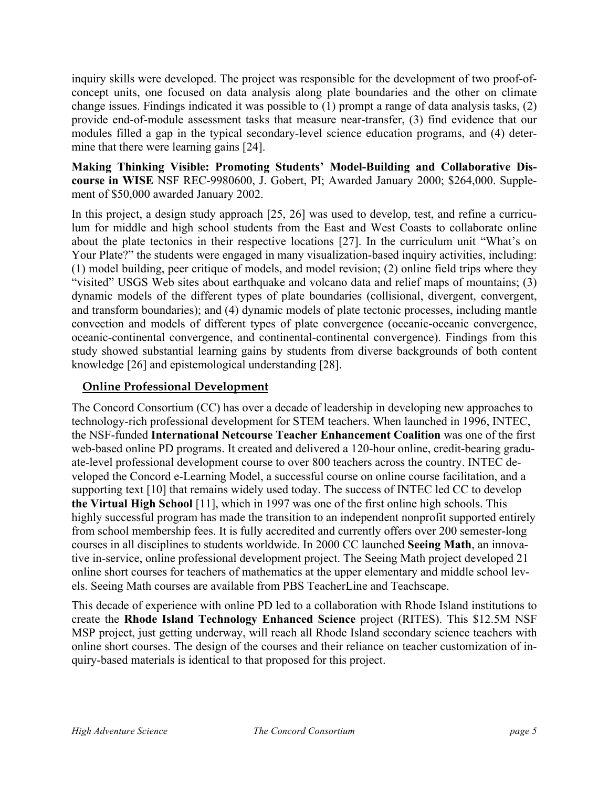inquiry skills were developed. The project was responsible for the development of two proof-ofconcept units, one focused on data analysis along plate boundaries and the other on climate change issues. Findings indicated it was possible to (1) prompt a range of data analysis tasks, (2) provide end-of-module assessment tasks that measure near-transfer, (3) find evidence that our modules filled a gap in the typical secondary-level science education programs, and (4) determine that there were learning gains [24].

**Making Thinking Visible: Promoting Students' Model-Building and Collaborative Discourse in WISE** NSF REC-9980600, J. Gobert, PI; Awarded January 2000; \$264,000. Supplement of \$50,000 awarded January 2002.

In this project, a design study approach [25, 26] was used to develop, test, and refine a curriculum for middle and high school students from the East and West Coasts to collaborate online about the plate tectonics in their respective locations [27]. In the curriculum unit "What's on Your Plate?" the students were engaged in many visualization-based inquiry activities, including: (1) model building, peer critique of models, and model revision; (2) online field trips where they "visited" USGS Web sites about earthquake and volcano data and relief maps of mountains; (3) dynamic models of the different types of plate boundaries (collisional, divergent, convergent, and transform boundaries); and (4) dynamic models of plate tectonic processes, including mantle convection and models of different types of plate convergence (oceanic-oceanic convergence, oceanic-continental convergence, and continental-continental convergence). Findings from this study showed substantial learning gains by students from diverse backgrounds of both content knowledge [26] and epistemological understanding [28].

### **Online Professional Development**

The Concord Consortium (CC) has over a decade of leadership in developing new approaches to technology-rich professional development for STEM teachers. When launched in 1996, INTEC, the NSF-funded **International Netcourse Teacher Enhancement Coalition** was one of the first web-based online PD programs. It created and delivered a 120-hour online, credit-bearing graduate-level professional development course to over 800 teachers across the country. INTEC developed the Concord e-Learning Model, a successful course on online course facilitation, and a supporting text [10] that remains widely used today. The success of INTEC led CC to develop **the Virtual High School** [11], which in 1997 was one of the first online high schools. This highly successful program has made the transition to an independent nonprofit supported entirely from school membership fees. It is fully accredited and currently offers over 200 semester-long courses in all disciplines to students worldwide. In 2000 CC launched **Seeing Math**, an innovative in-service, online professional development project. The Seeing Math project developed 21 online short courses for teachers of mathematics at the upper elementary and middle school levels. Seeing Math courses are available from PBS TeacherLine and Teachscape.

This decade of experience with online PD led to a collaboration with Rhode Island institutions to create the **Rhode Island Technology Enhanced Science** project (RITES). This \$12.5M NSF MSP project, just getting underway, will reach all Rhode Island secondary science teachers with online short courses. The design of the courses and their reliance on teacher customization of inquiry-based materials is identical to that proposed for this project.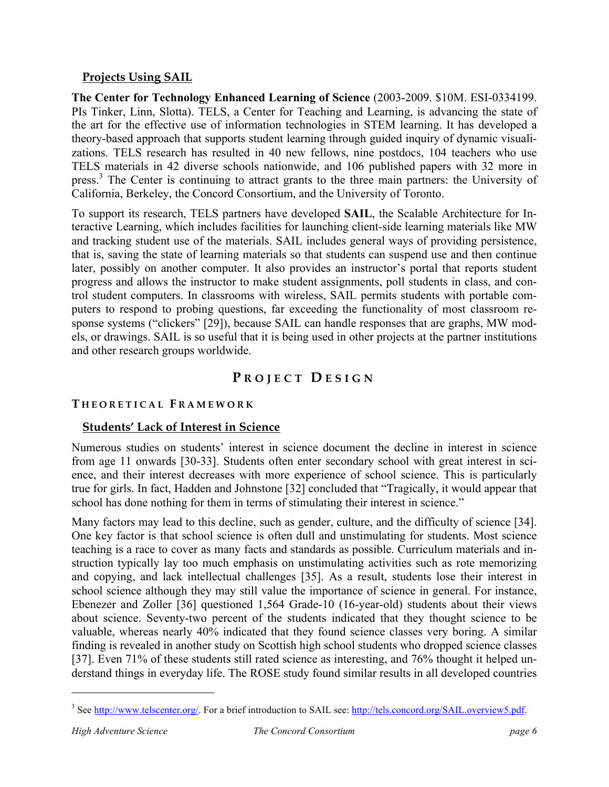#### **Projects Using SAIL**

**The Center for Technology Enhanced Learning of Science** (2003-2009. \$10M. ESI-0334199. PIs Tinker, Linn, Slotta). TELS, a Center for Teaching and Learning, is advancing the state of the art for the effective use of information technologies in STEM learning. It has developed a theory-based approach that supports student learning through guided inquiry of dynamic visualizations. TELS research has resulted in 40 new fellows, nine postdocs, 104 teachers who use TELS materials in 42 diverse schools nationwide, and 106 published papers with 32 more in press.<sup>3</sup> The Center is continuing to attract grants to the three main partners: the University of California, Berkeley, the Concord Consortium, and the University of Toronto.

To support its research, TELS partners have developed **SAIL**, the Scalable Architecture for Interactive Learning, which includes facilities for launching client-side learning materials like MW and tracking student use of the materials. SAIL includes general ways of providing persistence, that is, saving the state of learning materials so that students can suspend use and then continue later, possibly on another computer. It also provides an instructor's portal that reports student progress and allows the instructor to make student assignments, poll students in class, and control student computers. In classrooms with wireless, SAIL permits students with portable computers to respond to probing questions, far exceeding the functionality of most classroom response systems ("clickers" [29]), because SAIL can handle responses that are graphs, MW models, or drawings. SAIL is so useful that it is being used in other projects at the partner institutions and other research groups worldwide.

### **P ROJEC T D ESIGN**

### **T HEORETICAL F RAMEWORK**

### **Students' Lack of Interest in Science**

Numerous studies on students' interest in science document the decline in interest in science from age 11 onwards [30-33]. Students often enter secondary school with great interest in science, and their interest decreases with more experience of school science. This is particularly true for girls. In fact, Hadden and Johnstone [32] concluded that "Tragically, it would appear that school has done nothing for them in terms of stimulating their interest in science."

Many factors may lead to this decline, such as gender, culture, and the difficulty of science [34]. One key factor is that school science is often dull and unstimulating for students. Most science teaching is a race to cover as many facts and standards as possible. Curriculum materials and instruction typically lay too much emphasis on unstimulating activities such as rote memorizing and copying, and lack intellectual challenges [35]. As a result, students lose their interest in school science although they may still value the importance of science in general. For instance, Ebenezer and Zoller [36] questioned 1,564 Grade-10 (16-year-old) students about their views about science. Seventy-two percent of the students indicated that they thought science to be valuable, whereas nearly 40% indicated that they found science classes very boring. A similar finding is revealed in another study on Scottish high school students who dropped science classes [37]. Even 71% of these students still rated science as interesting, and 76% thought it helped understand things in everyday life. The ROSE study found similar results in all developed countries

 $\overline{a}$ 

<sup>&</sup>lt;sup>3</sup> See http://www.telscenter.org/. For a brief introduction to SAIL see: http://tels.concord.org/SAIL.overview5.pdf.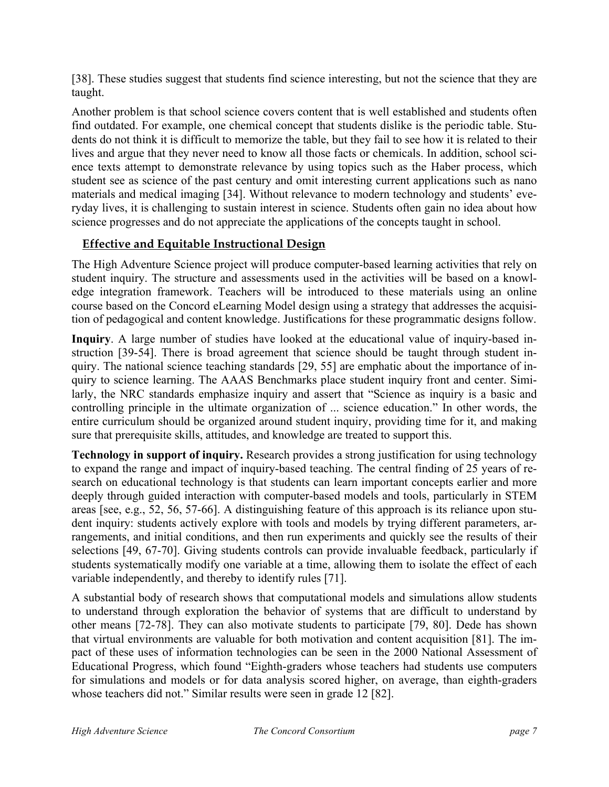[38]. These studies suggest that students find science interesting, but not the science that they are taught.

Another problem is that school science covers content that is well established and students often find outdated. For example, one chemical concept that students dislike is the periodic table. Students do not think it is difficult to memorize the table, but they fail to see how it is related to their lives and argue that they never need to know all those facts or chemicals. In addition, school science texts attempt to demonstrate relevance by using topics such as the Haber process, which student see as science of the past century and omit interesting current applications such as nano materials and medical imaging [34]. Without relevance to modern technology and students' everyday lives, it is challenging to sustain interest in science. Students often gain no idea about how science progresses and do not appreciate the applications of the concepts taught in school.

## **Effective and Equitable Instructional Design**

The High Adventure Science project will produce computer-based learning activities that rely on student inquiry. The structure and assessments used in the activities will be based on a knowledge integration framework. Teachers will be introduced to these materials using an online course based on the Concord eLearning Model design using a strategy that addresses the acquisition of pedagogical and content knowledge. Justifications for these programmatic designs follow.

**Inquiry**. A large number of studies have looked at the educational value of inquiry-based instruction [39-54]. There is broad agreement that science should be taught through student inquiry. The national science teaching standards [29, 55] are emphatic about the importance of inquiry to science learning. The AAAS Benchmarks place student inquiry front and center. Similarly, the NRC standards emphasize inquiry and assert that "Science as inquiry is a basic and controlling principle in the ultimate organization of ... science education." In other words, the entire curriculum should be organized around student inquiry, providing time for it, and making sure that prerequisite skills, attitudes, and knowledge are treated to support this.

**Technology in support of inquiry.** Research provides a strong justification for using technology to expand the range and impact of inquiry-based teaching. The central finding of 25 years of research on educational technology is that students can learn important concepts earlier and more deeply through guided interaction with computer-based models and tools, particularly in STEM areas [see, e.g., 52, 56, 57-66]. A distinguishing feature of this approach is its reliance upon student inquiry: students actively explore with tools and models by trying different parameters, arrangements, and initial conditions, and then run experiments and quickly see the results of their selections [49, 67-70]. Giving students controls can provide invaluable feedback, particularly if students systematically modify one variable at a time, allowing them to isolate the effect of each variable independently, and thereby to identify rules [71].

A substantial body of research shows that computational models and simulations allow students to understand through exploration the behavior of systems that are difficult to understand by other means [72-78]. They can also motivate students to participate [79, 80]. Dede has shown that virtual environments are valuable for both motivation and content acquisition [81]. The impact of these uses of information technologies can be seen in the 2000 National Assessment of Educational Progress, which found "Eighth-graders whose teachers had students use computers for simulations and models or for data analysis scored higher, on average, than eighth-graders whose teachers did not." Similar results were seen in grade 12 [82].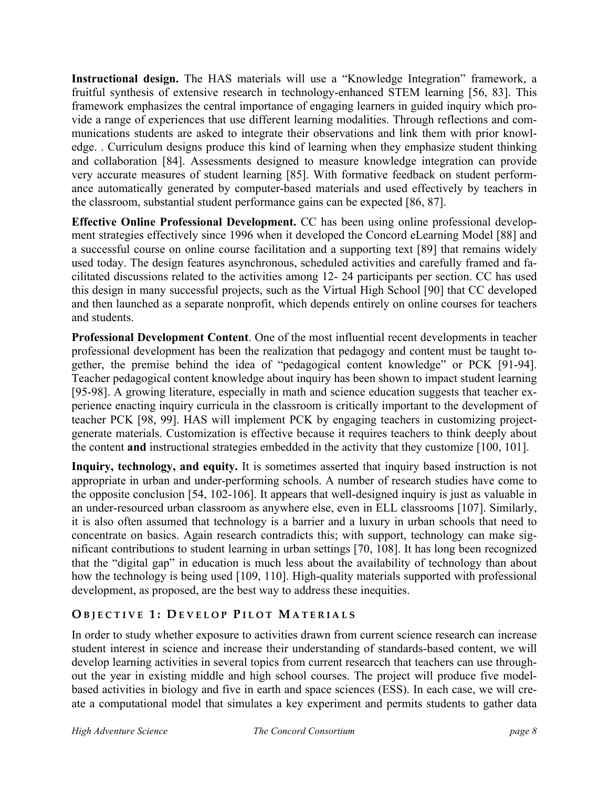**Instructional design.** The HAS materials will use a "Knowledge Integration" framework, a fruitful synthesis of extensive research in technology-enhanced STEM learning [56, 83]. This framework emphasizes the central importance of engaging learners in guided inquiry which provide a range of experiences that use different learning modalities. Through reflections and communications students are asked to integrate their observations and link them with prior knowledge. . Curriculum designs produce this kind of learning when they emphasize student thinking and collaboration [84]. Assessments designed to measure knowledge integration can provide very accurate measures of student learning [85]. With formative feedback on student performance automatically generated by computer-based materials and used effectively by teachers in the classroom, substantial student performance gains can be expected [86, 87].

**Effective Online Professional Development.** CC has been using online professional development strategies effectively since 1996 when it developed the Concord eLearning Model [88] and a successful course on online course facilitation and a supporting text [89] that remains widely used today. The design features asynchronous, scheduled activities and carefully framed and facilitated discussions related to the activities among 12- 24 participants per section. CC has used this design in many successful projects, such as the Virtual High School [90] that CC developed and then launched as a separate nonprofit, which depends entirely on online courses for teachers and students.

**Professional Development Content**. One of the most influential recent developments in teacher professional development has been the realization that pedagogy and content must be taught together, the premise behind the idea of "pedagogical content knowledge" or PCK [91-94]. Teacher pedagogical content knowledge about inquiry has been shown to impact student learning [95-98]. A growing literature, especially in math and science education suggests that teacher experience enacting inquiry curricula in the classroom is critically important to the development of teacher PCK [98, 99]. HAS will implement PCK by engaging teachers in customizing projectgenerate materials. Customization is effective because it requires teachers to think deeply about the content **and** instructional strategies embedded in the activity that they customize [100, 101].

**Inquiry, technology, and equity.** It is sometimes asserted that inquiry based instruction is not appropriate in urban and under-performing schools. A number of research studies have come to the opposite conclusion [54, 102-106]. It appears that well-designed inquiry is just as valuable in an under-resourced urban classroom as anywhere else, even in ELL classrooms [107]. Similarly, it is also often assumed that technology is a barrier and a luxury in urban schools that need to concentrate on basics. Again research contradicts this; with support, technology can make significant contributions to student learning in urban settings [70, 108]. It has long been recognized that the "digital gap" in education is much less about the availability of technology than about how the technology is being used [109, 110]. High-quality materials supported with professional development, as proposed, are the best way to address these inequities.

### **O BJECTIVE 1 : D EVELOP P ILOT M ATERIALS**

In order to study whether exposure to activities drawn from current science research can increase student interest in science and increase their understanding of standards-based content, we will develop learning activities in several topics from current researcch that teachers can use throughout the year in existing middle and high school courses. The project will produce five modelbased activities in biology and five in earth and space sciences (ESS). In each case, we will create a computational model that simulates a key experiment and permits students to gather data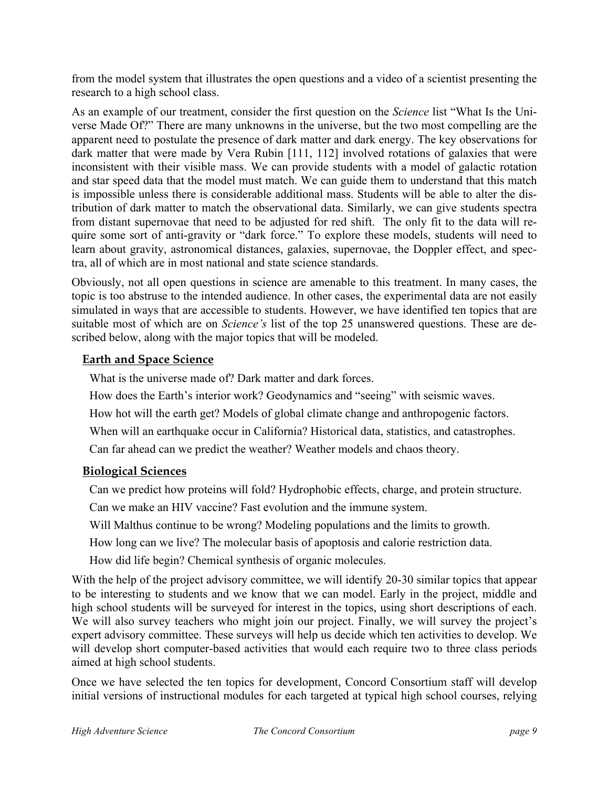from the model system that illustrates the open questions and a video of a scientist presenting the research to a high school class.

As an example of our treatment, consider the first question on the *Science* list "What Is the Universe Made Of?" There are many unknowns in the universe, but the two most compelling are the apparent need to postulate the presence of dark matter and dark energy. The key observations for dark matter that were made by Vera Rubin [111, 112] involved rotations of galaxies that were inconsistent with their visible mass. We can provide students with a model of galactic rotation and star speed data that the model must match. We can guide them to understand that this match is impossible unless there is considerable additional mass. Students will be able to alter the distribution of dark matter to match the observational data. Similarly, we can give students spectra from distant supernovae that need to be adjusted for red shift. The only fit to the data will require some sort of anti-gravity or "dark force." To explore these models, students will need to learn about gravity, astronomical distances, galaxies, supernovae, the Doppler effect, and spectra, all of which are in most national and state science standards.

Obviously, not all open questions in science are amenable to this treatment. In many cases, the topic is too abstruse to the intended audience. In other cases, the experimental data are not easily simulated in ways that are accessible to students. However, we have identified ten topics that are suitable most of which are on *Science's* list of the top 25 unanswered questions. These are described below, along with the major topics that will be modeled.

### **Earth and Space Science**

What is the universe made of? Dark matter and dark forces.

How does the Earth's interior work? Geodynamics and "seeing" with seismic waves.

How hot will the earth get? Models of global climate change and anthropogenic factors.

When will an earthquake occur in California? Historical data, statistics, and catastrophes.

Can far ahead can we predict the weather? Weather models and chaos theory.

### **Biological Sciences**

Can we predict how proteins will fold? Hydrophobic effects, charge, and protein structure.

Can we make an HIV vaccine? Fast evolution and the immune system.

Will Malthus continue to be wrong? Modeling populations and the limits to growth.

How long can we live? The molecular basis of apoptosis and calorie restriction data.

How did life begin? Chemical synthesis of organic molecules.

With the help of the project advisory committee, we will identify 20-30 similar topics that appear to be interesting to students and we know that we can model. Early in the project, middle and high school students will be surveyed for interest in the topics, using short descriptions of each. We will also survey teachers who might join our project. Finally, we will survey the project's expert advisory committee. These surveys will help us decide which ten activities to develop. We will develop short computer-based activities that would each require two to three class periods aimed at high school students.

Once we have selected the ten topics for development, Concord Consortium staff will develop initial versions of instructional modules for each targeted at typical high school courses, relying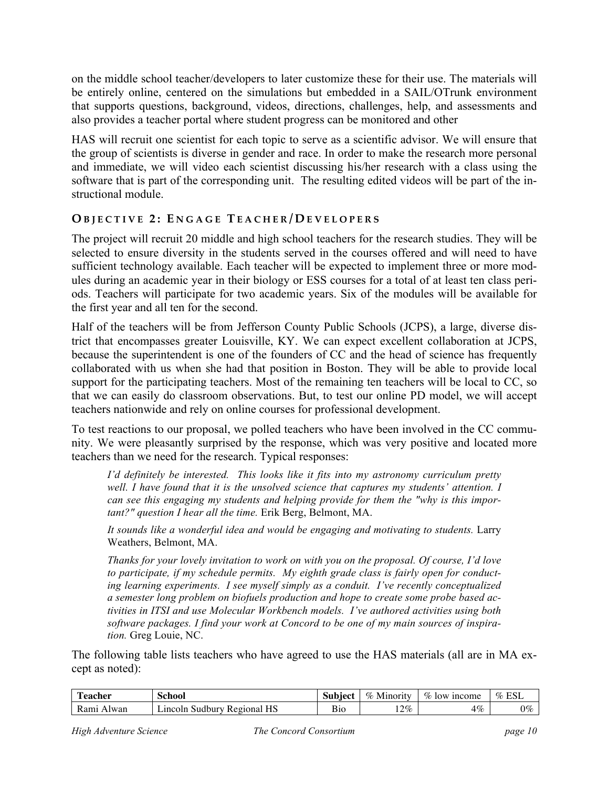on the middle school teacher/developers to later customize these for their use. The materials will be entirely online, centered on the simulations but embedded in a SAIL/OTrunk environment that supports questions, background, videos, directions, challenges, help, and assessments and also provides a teacher portal where student progress can be monitored and other

HAS will recruit one scientist for each topic to serve as a scientific advisor. We will ensure that the group of scientists is diverse in gender and race. In order to make the research more personal and immediate, we will video each scientist discussing his/her research with a class using the software that is part of the corresponding unit. The resulting edited videos will be part of the instructional module.

### **O BJECTIVE 2 : E NGAGE TEACHER / D EVELOPERS**

The project will recruit 20 middle and high school teachers for the research studies. They will be selected to ensure diversity in the students served in the courses offered and will need to have sufficient technology available. Each teacher will be expected to implement three or more modules during an academic year in their biology or ESS courses for a total of at least ten class periods. Teachers will participate for two academic years. Six of the modules will be available for the first year and all ten for the second.

Half of the teachers will be from Jefferson County Public Schools (JCPS), a large, diverse district that encompasses greater Louisville, KY. We can expect excellent collaboration at JCPS, because the superintendent is one of the founders of CC and the head of science has frequently collaborated with us when she had that position in Boston. They will be able to provide local support for the participating teachers. Most of the remaining ten teachers will be local to CC, so that we can easily do classroom observations. But, to test our online PD model, we will accept teachers nationwide and rely on online courses for professional development.

To test reactions to our proposal, we polled teachers who have been involved in the CC community. We were pleasantly surprised by the response, which was very positive and located more teachers than we need for the research. Typical responses:

*I'd definitely be interested. This looks like it fits into my astronomy curriculum pretty well. I have found that it is the unsolved science that captures my students' attention. I can see this engaging my students and helping provide for them the "why is this important?" question I hear all the time.* Erik Berg, Belmont, MA.

It sounds like a wonderful idea and would be engaging and motivating to students. Larry Weathers, Belmont, MA.

*Thanks for your lovely invitation to work on with you on the proposal. Of course, I'd love to participate, if my schedule permits. My eighth grade class is fairly open for conducting learning experiments. I see myself simply as a conduit. I've recently conceptualized a semester long problem on biofuels production and hope to create some probe based activities in ITSI and use Molecular Workbench models. I've authored activities using both software packages. I find your work at Concord to be one of my main sources of inspiration.* Greg Louie, NC.

The following table lists teachers who have agreed to use the HAS materials (all are in MA except as noted):

| m<br>reacher             | School<br>.                         | Subiect             | $\mathcal{Q}_0$<br>Minority | $\%$<br>low<br><sub>1</sub> ncome | ECI<br>$\%$<br>-<br>LOL |
|--------------------------|-------------------------------------|---------------------|-----------------------------|-----------------------------------|-------------------------|
| <b>D</b><br>Kam<br>Alwan | HS<br>Regional<br>Sudbury<br>ancoir | $\mathbf{r}$<br>B10 | $2\%$<br>. .                | $4\%$                             | $0\%$<br>v              |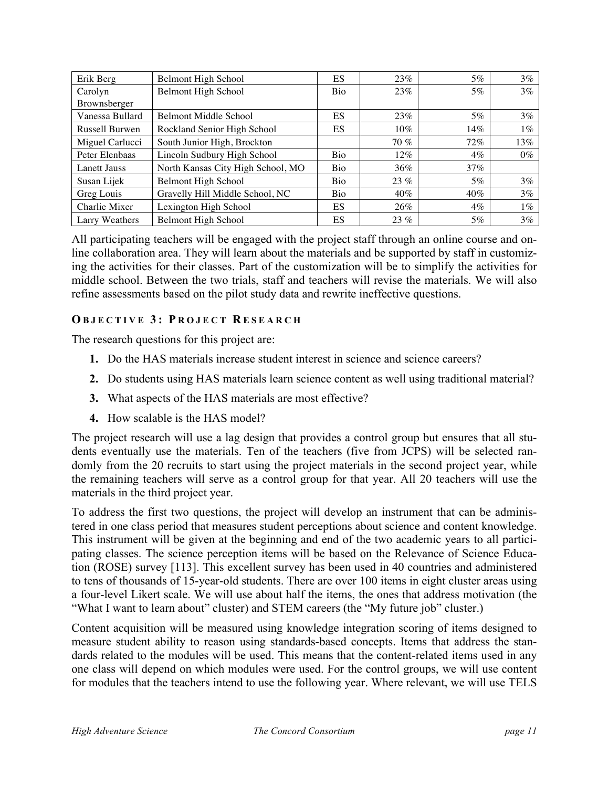| Erik Berg       | <b>Belmont High School</b>        | ES         | 23%    | 5%     | $3\%$ |
|-----------------|-----------------------------------|------------|--------|--------|-------|
| Carolyn         | <b>Belmont High School</b>        | <b>Bio</b> | 23%    | 5%     | $3\%$ |
| Brownsberger    |                                   |            |        |        |       |
| Vanessa Bullard | <b>Belmont Middle School</b>      | ES         | 23%    | $5\%$  | $3\%$ |
| Russell Burwen  | Rockland Senior High School       | ES         | $10\%$ | 14%    | $1\%$ |
| Miguel Carlucci | South Junior High, Brockton       |            | $70\%$ | $72\%$ | 13%   |
| Peter Elenbaas  | Lincoln Sudbury High School       | <b>Bio</b> | $12\%$ | $4\%$  | $0\%$ |
| Lanett Jauss    | North Kansas City High School, MO | Bio        | 36%    | 37%    |       |
| Susan Lijek     | <b>Belmont High School</b>        | <b>Bio</b> | $23\%$ | $5\%$  | $3\%$ |
| Greg Louis      | Gravelly Hill Middle School, NC   | <b>Bio</b> | 40%    | $40\%$ | $3\%$ |
| Charlie Mixer   | Lexington High School             | ES         | 26%    | $4\%$  | $1\%$ |
| Larry Weathers  | <b>Belmont High School</b>        | ES         | $23\%$ | $5\%$  | $3\%$ |

All participating teachers will be engaged with the project staff through an online course and online collaboration area. They will learn about the materials and be supported by staff in customizing the activities for their classes. Part of the customization will be to simplify the activities for middle school. Between the two trials, staff and teachers will revise the materials. We will also refine assessments based on the pilot study data and rewrite ineffective questions.

### **O BJECTIVE 3 : P ROJECT R ESEARCH**

The research questions for this project are:

- **1.** Do the HAS materials increase student interest in science and science careers?
- **2.** Do students using HAS materials learn science content as well using traditional material?
- **3.** What aspects of the HAS materials are most effective?
- **4.** How scalable is the HAS model?

The project research will use a lag design that provides a control group but ensures that all students eventually use the materials. Ten of the teachers (five from JCPS) will be selected randomly from the 20 recruits to start using the project materials in the second project year, while the remaining teachers will serve as a control group for that year. All 20 teachers will use the materials in the third project year.

To address the first two questions, the project will develop an instrument that can be administered in one class period that measures student perceptions about science and content knowledge. This instrument will be given at the beginning and end of the two academic years to all participating classes. The science perception items will be based on the Relevance of Science Education (ROSE) survey [113]. This excellent survey has been used in 40 countries and administered to tens of thousands of 15-year-old students. There are over 100 items in eight cluster areas using a four-level Likert scale. We will use about half the items, the ones that address motivation (the "What I want to learn about" cluster) and STEM careers (the "My future job" cluster.)

Content acquisition will be measured using knowledge integration scoring of items designed to measure student ability to reason using standards-based concepts. Items that address the standards related to the modules will be used. This means that the content-related items used in any one class will depend on which modules were used. For the control groups, we will use content for modules that the teachers intend to use the following year. Where relevant, we will use TELS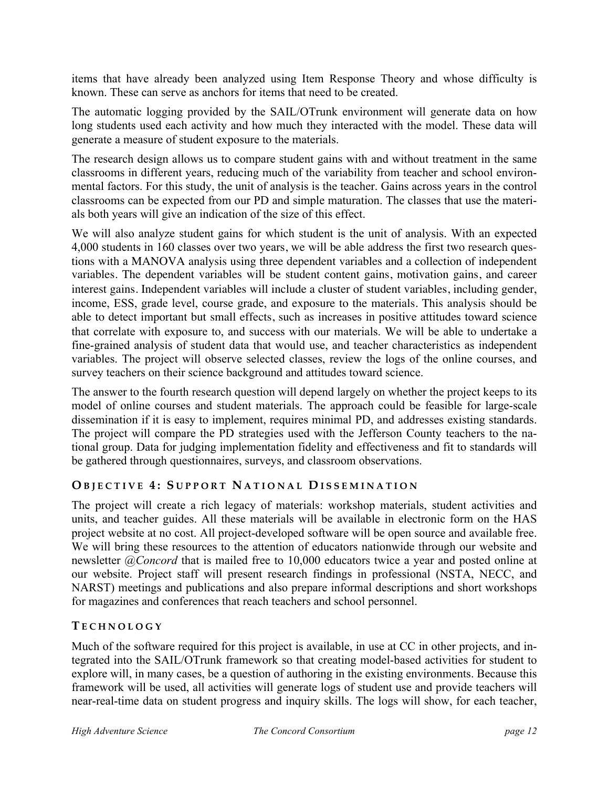items that have already been analyzed using Item Response Theory and whose difficulty is known. These can serve as anchors for items that need to be created.

The automatic logging provided by the SAIL/OTrunk environment will generate data on how long students used each activity and how much they interacted with the model. These data will generate a measure of student exposure to the materials.

The research design allows us to compare student gains with and without treatment in the same classrooms in different years, reducing much of the variability from teacher and school environmental factors. For this study, the unit of analysis is the teacher. Gains across years in the control classrooms can be expected from our PD and simple maturation. The classes that use the materials both years will give an indication of the size of this effect.

We will also analyze student gains for which student is the unit of analysis. With an expected 4,000 students in 160 classes over two years, we will be able address the first two research questions with a MANOVA analysis using three dependent variables and a collection of independent variables. The dependent variables will be student content gains, motivation gains, and career interest gains. Independent variables will include a cluster of student variables, including gender, income, ESS, grade level, course grade, and exposure to the materials. This analysis should be able to detect important but small effects, such as increases in positive attitudes toward science that correlate with exposure to, and success with our materials. We will be able to undertake a fine-grained analysis of student data that would use, and teacher characteristics as independent variables. The project will observe selected classes, review the logs of the online courses, and survey teachers on their science background and attitudes toward science.

The answer to the fourth research question will depend largely on whether the project keeps to its model of online courses and student materials. The approach could be feasible for large-scale dissemination if it is easy to implement, requires minimal PD, and addresses existing standards. The project will compare the PD strategies used with the Jefferson County teachers to the national group. Data for judging implementation fidelity and effectiveness and fit to standards will be gathered through questionnaires, surveys, and classroom observations.

### **O BJECTIVE 4 : S UPPORT N ATIONAL D ISSEMINATION**

The project will create a rich legacy of materials: workshop materials, student activities and units, and teacher guides. All these materials will be available in electronic form on the HAS project website at no cost. All project-developed software will be open source and available free. We will bring these resources to the attention of educators nationwide through our website and newsletter *@Concord* that is mailed free to 10,000 educators twice a year and posted online at our website. Project staff will present research findings in professional (NSTA, NECC, and NARST) meetings and publications and also prepare informal descriptions and short workshops for magazines and conferences that reach teachers and school personnel.

### **TECHNOLOGY**

Much of the software required for this project is available, in use at CC in other projects, and integrated into the SAIL/OTrunk framework so that creating model-based activities for student to explore will, in many cases, be a question of authoring in the existing environments. Because this framework will be used, all activities will generate logs of student use and provide teachers will near-real-time data on student progress and inquiry skills. The logs will show, for each teacher,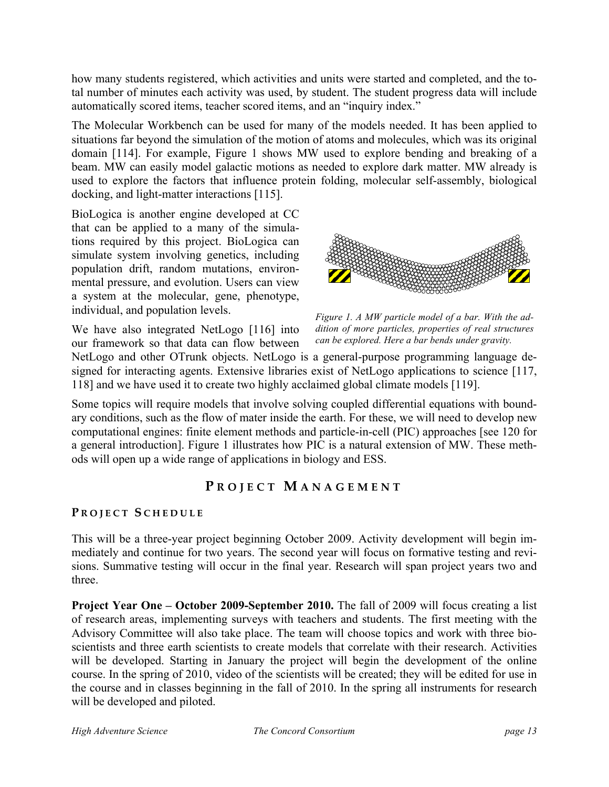how many students registered, which activities and units were started and completed, and the total number of minutes each activity was used, by student. The student progress data will include automatically scored items, teacher scored items, and an "inquiry index."

The Molecular Workbench can be used for many of the models needed. It has been applied to situations far beyond the simulation of the motion of atoms and molecules, which was its original domain [114]. For example, Figure 1 shows MW used to explore bending and breaking of a beam. MW can easily model galactic motions as needed to explore dark matter. MW already is used to explore the factors that influence protein folding, molecular self-assembly, biological docking, and light-matter interactions [115].

BioLogica is another engine developed at CC that can be applied to a many of the simulations required by this project. BioLogica can simulate system involving genetics, including population drift, random mutations, environmental pressure, and evolution. Users can view a system at the molecular, gene, phenotype, individual, and population levels.

We have also integrated NetLogo [116] into our framework so that data can flow between



*Figure 1. A MW particle model of a bar. With the addition of more particles, properties of real structures can be explored. Here a bar bends under gravity.* 

NetLogo and other OTrunk objects. NetLogo is a general-purpose programming language designed for interacting agents. Extensive libraries exist of NetLogo applications to science [117, 118] and we have used it to create two highly acclaimed global climate models [119].

Some topics will require models that involve solving coupled differential equations with boundary conditions, such as the flow of mater inside the earth. For these, we will need to develop new computational engines: finite element methods and particle-in-cell (PIC) approaches [see 120 for a general introduction]. Figure 1 illustrates how PIC is a natural extension of MW. These methods will open up a wide range of applications in biology and ESS.

## **P ROJECT M ANAGEMENT**

### **P ROJECT S CHEDULE**

This will be a three-year project beginning October 2009. Activity development will begin immediately and continue for two years. The second year will focus on formative testing and revisions. Summative testing will occur in the final year. Research will span project years two and three.

**Project Year One – October 2009-September 2010.** The fall of 2009 will focus creating a list of research areas, implementing surveys with teachers and students. The first meeting with the Advisory Committee will also take place. The team will choose topics and work with three bioscientists and three earth scientists to create models that correlate with their research. Activities will be developed. Starting in January the project will begin the development of the online course. In the spring of 2010, video of the scientists will be created; they will be edited for use in the course and in classes beginning in the fall of 2010. In the spring all instruments for research will be developed and piloted.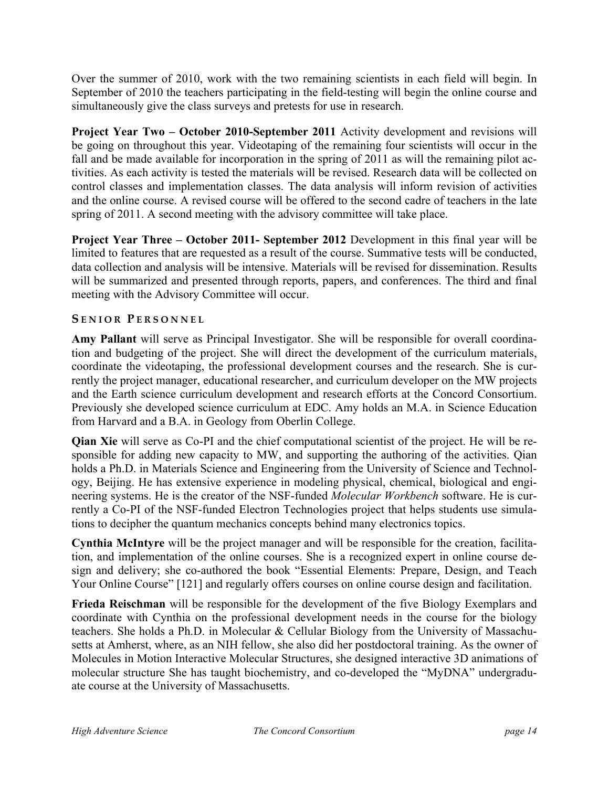Over the summer of 2010, work with the two remaining scientists in each field will begin. In September of 2010 the teachers participating in the field-testing will begin the online course and simultaneously give the class surveys and pretests for use in research.

**Project Year Two – October 2010-September 2011** Activity development and revisions will be going on throughout this year. Videotaping of the remaining four scientists will occur in the fall and be made available for incorporation in the spring of 2011 as will the remaining pilot activities. As each activity is tested the materials will be revised. Research data will be collected on control classes and implementation classes. The data analysis will inform revision of activities and the online course. A revised course will be offered to the second cadre of teachers in the late spring of 2011. A second meeting with the advisory committee will take place.

**Project Year Three – October 2011- September 2012** Development in this final year will be limited to features that are requested as a result of the course. Summative tests will be conducted, data collection and analysis will be intensive. Materials will be revised for dissemination. Results will be summarized and presented through reports, papers, and conferences. The third and final meeting with the Advisory Committee will occur.

### **S ENIOR P ERSONNEL**

**Amy Pallant** will serve as Principal Investigator. She will be responsible for overall coordination and budgeting of the project. She will direct the development of the curriculum materials, coordinate the videotaping, the professional development courses and the research. She is currently the project manager, educational researcher, and curriculum developer on the MW projects and the Earth science curriculum development and research efforts at the Concord Consortium. Previously she developed science curriculum at EDC. Amy holds an M.A. in Science Education from Harvard and a B.A. in Geology from Oberlin College.

**Qian Xie** will serve as Co-PI and the chief computational scientist of the project. He will be responsible for adding new capacity to MW, and supporting the authoring of the activities. Qian holds a Ph.D. in Materials Science and Engineering from the University of Science and Technology, Beijing. He has extensive experience in modeling physical, chemical, biological and engineering systems. He is the creator of the NSF-funded *Molecular Workbench* software. He is currently a Co-PI of the NSF-funded Electron Technologies project that helps students use simulations to decipher the quantum mechanics concepts behind many electronics topics.

**Cynthia McIntyre** will be the project manager and will be responsible for the creation, facilitation, and implementation of the online courses. She is a recognized expert in online course design and delivery; she co-authored the book "Essential Elements: Prepare, Design, and Teach Your Online Course" [121] and regularly offers courses on online course design and facilitation.

**Frieda Reischman** will be responsible for the development of the five Biology Exemplars and coordinate with Cynthia on the professional development needs in the course for the biology teachers. She holds a Ph.D. in Molecular & Cellular Biology from the University of Massachusetts at Amherst, where, as an NIH fellow, she also did her postdoctoral training. As the owner of Molecules in Motion Interactive Molecular Structures, she designed interactive 3D animations of molecular structure She has taught biochemistry, and co-developed the "MyDNA" undergraduate course at the University of Massachusetts.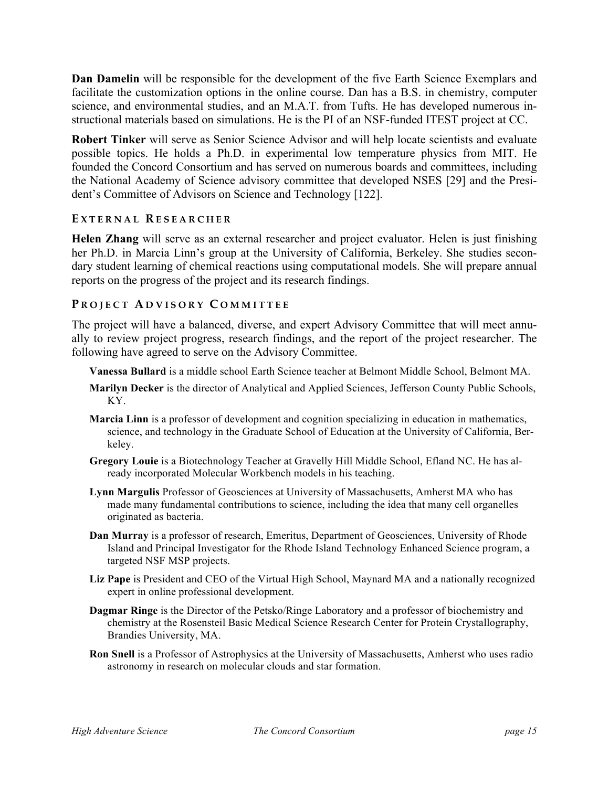**Dan Damelin** will be responsible for the development of the five Earth Science Exemplars and facilitate the customization options in the online course. Dan has a B.S. in chemistry, computer science, and environmental studies, and an M.A.T. from Tufts. He has developed numerous instructional materials based on simulations. He is the PI of an NSF-funded ITEST project at CC.

**Robert Tinker** will serve as Senior Science Advisor and will help locate scientists and evaluate possible topics. He holds a Ph.D. in experimental low temperature physics from MIT. He founded the Concord Consortium and has served on numerous boards and committees, including the National Academy of Science advisory committee that developed NSES [29] and the President's Committee of Advisors on Science and Technology [122].

#### **E XTERNAL R ESEARCHER**

**Helen Zhang** will serve as an external researcher and project evaluator. Helen is just finishing her Ph.D. in Marcia Linn's group at the University of California, Berkeley. She studies secondary student learning of chemical reactions using computational models. She will prepare annual reports on the progress of the project and its research findings.

### **P ROJECT A DVISORY C OMMITTEE**

The project will have a balanced, diverse, and expert Advisory Committee that will meet annually to review project progress, research findings, and the report of the project researcher. The following have agreed to serve on the Advisory Committee.

- **Vanessa Bullard** is a middle school Earth Science teacher at Belmont Middle School, Belmont MA.
- **Marilyn Decker** is the director of Analytical and Applied Sciences, Jefferson County Public Schools, KY.
- **Marcia Linn** is a professor of development and cognition specializing in education in mathematics, science, and technology in the Graduate School of Education at the University of California, Berkeley.
- **Gregory Louie** is a Biotechnology Teacher at Gravelly Hill Middle School, Efland NC. He has already incorporated Molecular Workbench models in his teaching.
- **Lynn Margulis** Professor of Geosciences at University of Massachusetts, Amherst MA who has made many fundamental contributions to science, including the idea that many cell organelles originated as bacteria.
- **Dan Murray** is a professor of research, Emeritus, Department of Geosciences, University of Rhode Island and Principal Investigator for the Rhode Island Technology Enhanced Science program, a targeted NSF MSP projects.
- **Liz Pape** is President and CEO of the Virtual High School, Maynard MA and a nationally recognized expert in online professional development.
- **Dagmar Ringe** is the Director of the Petsko/Ringe Laboratory and a professor of biochemistry and chemistry at the Rosensteil Basic Medical Science Research Center for Protein Crystallography, Brandies University, MA.
- **Ron Snell** is a Professor of Astrophysics at the University of Massachusetts, Amherst who uses radio astronomy in research on molecular clouds and star formation.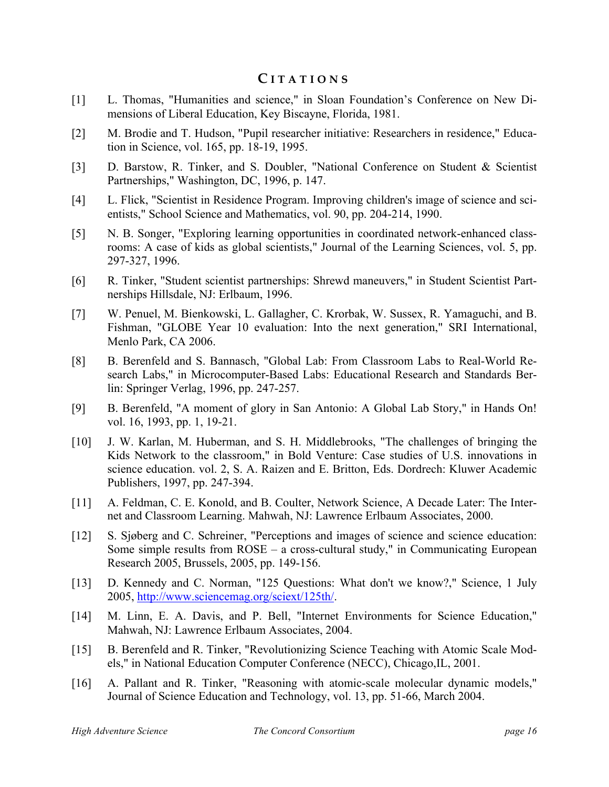### **C ITATIONS**

- [1] L. Thomas, "Humanities and science," in Sloan Foundation's Conference on New Dimensions of Liberal Education, Key Biscayne, Florida, 1981.
- [2] M. Brodie and T. Hudson, "Pupil researcher initiative: Researchers in residence," Education in Science, vol. 165, pp. 18-19, 1995.
- [3] D. Barstow, R. Tinker, and S. Doubler, "National Conference on Student & Scientist Partnerships," Washington, DC, 1996, p. 147.
- [4] L. Flick, "Scientist in Residence Program. Improving children's image of science and scientists," School Science and Mathematics, vol. 90, pp. 204-214, 1990.
- [5] N. B. Songer, "Exploring learning opportunities in coordinated network-enhanced classrooms: A case of kids as global scientists," Journal of the Learning Sciences, vol. 5, pp. 297-327, 1996.
- [6] R. Tinker, "Student scientist partnerships: Shrewd maneuvers," in Student Scientist Partnerships Hillsdale, NJ: Erlbaum, 1996.
- [7] W. Penuel, M. Bienkowski, L. Gallagher, C. Krorbak, W. Sussex, R. Yamaguchi, and B. Fishman, "GLOBE Year 10 evaluation: Into the next generation," SRI International, Menlo Park, CA 2006.
- [8] B. Berenfeld and S. Bannasch, "Global Lab: From Classroom Labs to Real-World Research Labs," in Microcomputer-Based Labs: Educational Research and Standards Berlin: Springer Verlag, 1996, pp. 247-257.
- [9] B. Berenfeld, "A moment of glory in San Antonio: A Global Lab Story," in Hands On! vol. 16, 1993, pp. 1, 19-21.
- [10] J. W. Karlan, M. Huberman, and S. H. Middlebrooks, "The challenges of bringing the Kids Network to the classroom," in Bold Venture: Case studies of U.S. innovations in science education. vol. 2, S. A. Raizen and E. Britton, Eds. Dordrech: Kluwer Academic Publishers, 1997, pp. 247-394.
- [11] A. Feldman, C. E. Konold, and B. Coulter, Network Science, A Decade Later: The Internet and Classroom Learning. Mahwah, NJ: Lawrence Erlbaum Associates, 2000.
- [12] S. Sjøberg and C. Schreiner, "Perceptions and images of science and science education: Some simple results from  $ROSE - a$  cross-cultural study," in Communicating European Research 2005, Brussels, 2005, pp. 149-156.
- [13] D. Kennedy and C. Norman, "125 Questions: What don't we know?," Science, 1 July 2005, http://www.sciencemag.org/sciext/125th/.
- [14] M. Linn, E. A. Davis, and P. Bell, "Internet Environments for Science Education," Mahwah, NJ: Lawrence Erlbaum Associates, 2004.
- [15] B. Berenfeld and R. Tinker, "Revolutionizing Science Teaching with Atomic Scale Models," in National Education Computer Conference (NECC), Chicago,IL, 2001.
- [16] A. Pallant and R. Tinker, "Reasoning with atomic-scale molecular dynamic models," Journal of Science Education and Technology, vol. 13, pp. 51-66, March 2004.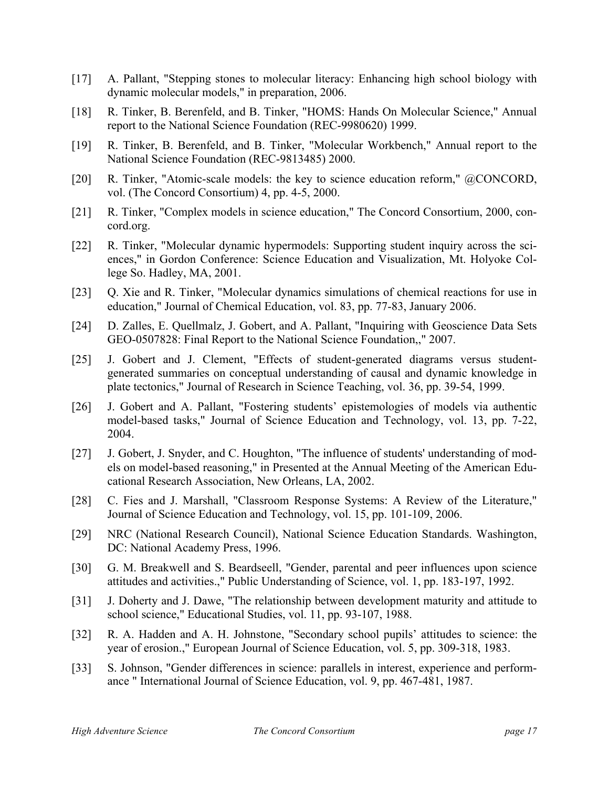- [17] A. Pallant, "Stepping stones to molecular literacy: Enhancing high school biology with dynamic molecular models," in preparation, 2006.
- [18] R. Tinker, B. Berenfeld, and B. Tinker, "HOMS: Hands On Molecular Science," Annual report to the National Science Foundation (REC-9980620) 1999.
- [19] R. Tinker, B. Berenfeld, and B. Tinker, "Molecular Workbench," Annual report to the National Science Foundation (REC-9813485) 2000.
- [20] R. Tinker, "Atomic-scale models: the key to science education reform," @CONCORD, vol. (The Concord Consortium) 4, pp. 4-5, 2000.
- [21] R. Tinker, "Complex models in science education," The Concord Consortium, 2000, concord.org.
- [22] R. Tinker, "Molecular dynamic hypermodels: Supporting student inquiry across the sciences," in Gordon Conference: Science Education and Visualization, Mt. Holyoke College So. Hadley, MA, 2001.
- [23] Q. Xie and R. Tinker, "Molecular dynamics simulations of chemical reactions for use in education," Journal of Chemical Education, vol. 83, pp. 77-83, January 2006.
- [24] D. Zalles, E. Quellmalz, J. Gobert, and A. Pallant, "Inquiring with Geoscience Data Sets GEO-0507828: Final Report to the National Science Foundation,," 2007.
- [25] J. Gobert and J. Clement, "Effects of student-generated diagrams versus studentgenerated summaries on conceptual understanding of causal and dynamic knowledge in plate tectonics," Journal of Research in Science Teaching, vol. 36, pp. 39-54, 1999.
- [26] J. Gobert and A. Pallant, "Fostering students' epistemologies of models via authentic model-based tasks," Journal of Science Education and Technology, vol. 13, pp. 7-22, 2004.
- [27] J. Gobert, J. Snyder, and C. Houghton, "The influence of students' understanding of models on model-based reasoning," in Presented at the Annual Meeting of the American Educational Research Association, New Orleans, LA, 2002.
- [28] C. Fies and J. Marshall, "Classroom Response Systems: A Review of the Literature," Journal of Science Education and Technology, vol. 15, pp. 101-109, 2006.
- [29] NRC (National Research Council), National Science Education Standards. Washington, DC: National Academy Press, 1996.
- [30] G. M. Breakwell and S. Beardseell, "Gender, parental and peer influences upon science attitudes and activities.," Public Understanding of Science, vol. 1, pp. 183-197, 1992.
- [31] J. Doherty and J. Dawe, "The relationship between development maturity and attitude to school science," Educational Studies, vol. 11, pp. 93-107, 1988.
- [32] R. A. Hadden and A. H. Johnstone, "Secondary school pupils' attitudes to science: the year of erosion.," European Journal of Science Education, vol. 5, pp. 309-318, 1983.
- [33] S. Johnson, "Gender differences in science: parallels in interest, experience and performance " International Journal of Science Education, vol. 9, pp. 467-481, 1987.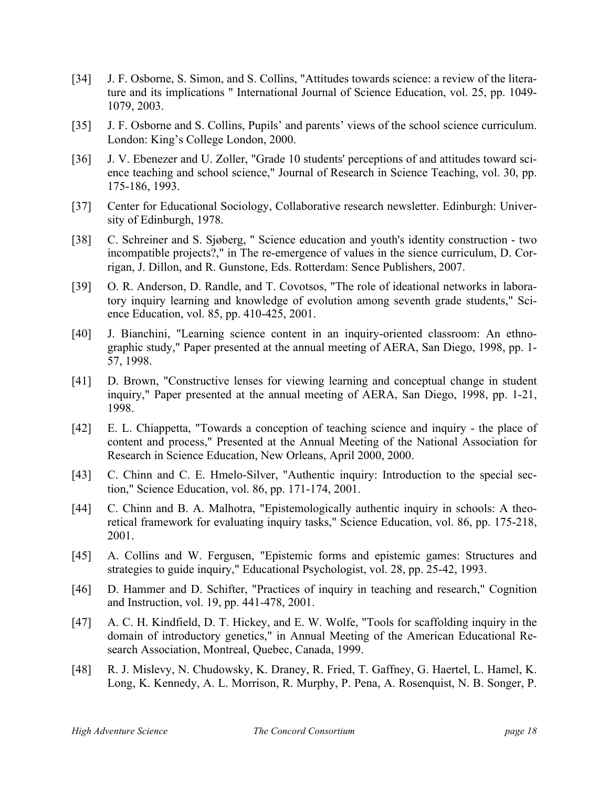- [34] J. F. Osborne, S. Simon, and S. Collins, "Attitudes towards science: a review of the literature and its implications " International Journal of Science Education, vol. 25, pp. 1049- 1079, 2003.
- [35] J. F. Osborne and S. Collins, Pupils' and parents' views of the school science curriculum. London: King's College London, 2000.
- [36] J. V. Ebenezer and U. Zoller, "Grade 10 students' perceptions of and attitudes toward science teaching and school science," Journal of Research in Science Teaching, vol. 30, pp. 175-186, 1993.
- [37] Center for Educational Sociology, Collaborative research newsletter. Edinburgh: University of Edinburgh, 1978.
- [38] C. Schreiner and S. Sjøberg, " Science education and youth's identity construction two incompatible projects?," in The re-emergence of values in the sience curriculum, D. Corrigan, J. Dillon, and R. Gunstone, Eds. Rotterdam: Sence Publishers, 2007.
- [39] O. R. Anderson, D. Randle, and T. Covotsos, "The role of ideational networks in laboratory inquiry learning and knowledge of evolution among seventh grade students," Science Education, vol. 85, pp. 410-425, 2001.
- [40] J. Bianchini, "Learning science content in an inquiry-oriented classroom: An ethnographic study," Paper presented at the annual meeting of AERA, San Diego, 1998, pp. 1- 57, 1998.
- [41] D. Brown, "Constructive lenses for viewing learning and conceptual change in student inquiry," Paper presented at the annual meeting of AERA, San Diego, 1998, pp. 1-21, 1998.
- [42] E. L. Chiappetta, "Towards a conception of teaching science and inquiry the place of content and process," Presented at the Annual Meeting of the National Association for Research in Science Education, New Orleans, April 2000, 2000.
- [43] C. Chinn and C. E. Hmelo-Silver, "Authentic inquiry: Introduction to the special section," Science Education, vol. 86, pp. 171-174, 2001.
- [44] C. Chinn and B. A. Malhotra, "Epistemologically authentic inquiry in schools: A theoretical framework for evaluating inquiry tasks," Science Education, vol. 86, pp. 175-218, 2001.
- [45] A. Collins and W. Fergusen, "Epistemic forms and epistemic games: Structures and strategies to guide inquiry," Educational Psychologist, vol. 28, pp. 25-42, 1993.
- [46] D. Hammer and D. Schifter, "Practices of inquiry in teaching and research," Cognition and Instruction, vol. 19, pp. 441-478, 2001.
- [47] A. C. H. Kindfield, D. T. Hickey, and E. W. Wolfe, "Tools for scaffolding inquiry in the domain of introductory genetics," in Annual Meeting of the American Educational Research Association, Montreal, Quebec, Canada, 1999.
- [48] R. J. Mislevy, N. Chudowsky, K. Draney, R. Fried, T. Gaffney, G. Haertel, L. Hamel, K. Long, K. Kennedy, A. L. Morrison, R. Murphy, P. Pena, A. Rosenquist, N. B. Songer, P.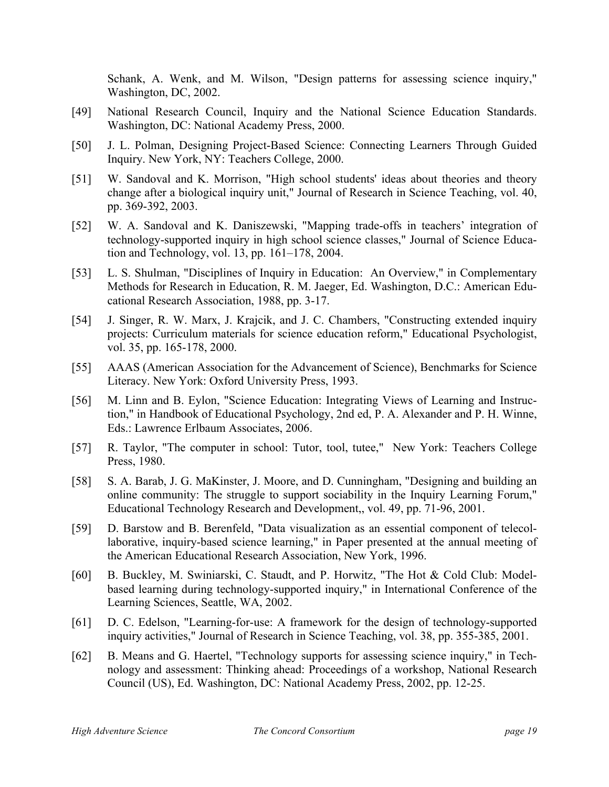Schank, A. Wenk, and M. Wilson, "Design patterns for assessing science inquiry," Washington, DC, 2002.

- [49] National Research Council, Inquiry and the National Science Education Standards. Washington, DC: National Academy Press, 2000.
- [50] J. L. Polman, Designing Project-Based Science: Connecting Learners Through Guided Inquiry. New York, NY: Teachers College, 2000.
- [51] W. Sandoval and K. Morrison, "High school students' ideas about theories and theory change after a biological inquiry unit," Journal of Research in Science Teaching, vol. 40, pp. 369-392, 2003.
- [52] W. A. Sandoval and K. Daniszewski, "Mapping trade-offs in teachers' integration of technology-supported inquiry in high school science classes," Journal of Science Education and Technology, vol. 13, pp. 161–178, 2004.
- [53] L. S. Shulman, "Disciplines of Inquiry in Education: An Overview," in Complementary Methods for Research in Education, R. M. Jaeger, Ed. Washington, D.C.: American Educational Research Association, 1988, pp. 3-17.
- [54] J. Singer, R. W. Marx, J. Krajcik, and J. C. Chambers, "Constructing extended inquiry projects: Curriculum materials for science education reform," Educational Psychologist, vol. 35, pp. 165-178, 2000.
- [55] AAAS (American Association for the Advancement of Science), Benchmarks for Science Literacy. New York: Oxford University Press, 1993.
- [56] M. Linn and B. Eylon, "Science Education: Integrating Views of Learning and Instruction," in Handbook of Educational Psychology, 2nd ed, P. A. Alexander and P. H. Winne, Eds.: Lawrence Erlbaum Associates, 2006.
- [57] R. Taylor, "The computer in school: Tutor, tool, tutee," New York: Teachers College Press, 1980.
- [58] S. A. Barab, J. G. MaKinster, J. Moore, and D. Cunningham, "Designing and building an online community: The struggle to support sociability in the Inquiry Learning Forum," Educational Technology Research and Development,, vol. 49, pp. 71-96, 2001.
- [59] D. Barstow and B. Berenfeld, "Data visualization as an essential component of telecollaborative, inquiry-based science learning," in Paper presented at the annual meeting of the American Educational Research Association, New York, 1996.
- [60] B. Buckley, M. Swiniarski, C. Staudt, and P. Horwitz, "The Hot & Cold Club: Modelbased learning during technology-supported inquiry," in International Conference of the Learning Sciences, Seattle, WA, 2002.
- [61] D. C. Edelson, "Learning-for-use: A framework for the design of technology-supported inquiry activities," Journal of Research in Science Teaching, vol. 38, pp. 355-385, 2001.
- [62] B. Means and G. Haertel, "Technology supports for assessing science inquiry," in Technology and assessment: Thinking ahead: Proceedings of a workshop, National Research Council (US), Ed. Washington, DC: National Academy Press, 2002, pp. 12-25.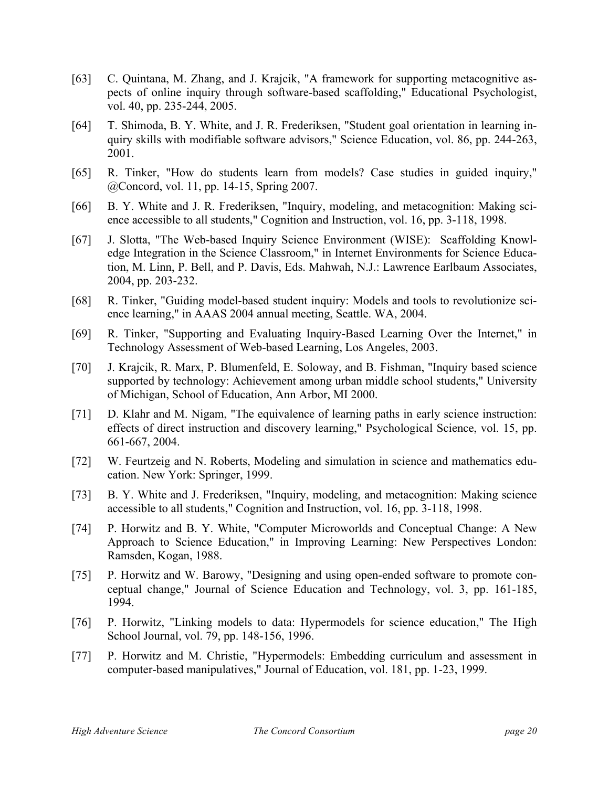- [63] C. Quintana, M. Zhang, and J. Krajcik, "A framework for supporting metacognitive aspects of online inquiry through software-based scaffolding," Educational Psychologist, vol. 40, pp. 235-244, 2005.
- [64] T. Shimoda, B. Y. White, and J. R. Frederiksen, "Student goal orientation in learning inquiry skills with modifiable software advisors," Science Education, vol. 86, pp. 244-263, 2001.
- [65] R. Tinker, "How do students learn from models? Case studies in guided inquiry," @Concord, vol. 11, pp. 14-15, Spring 2007.
- [66] B. Y. White and J. R. Frederiksen, "Inquiry, modeling, and metacognition: Making science accessible to all students," Cognition and Instruction, vol. 16, pp. 3-118, 1998.
- [67] J. Slotta, "The Web-based Inquiry Science Environment (WISE): Scaffolding Knowledge Integration in the Science Classroom," in Internet Environments for Science Education, M. Linn, P. Bell, and P. Davis, Eds. Mahwah, N.J.: Lawrence Earlbaum Associates, 2004, pp. 203-232.
- [68] R. Tinker, "Guiding model-based student inquiry: Models and tools to revolutionize science learning," in AAAS 2004 annual meeting, Seattle. WA, 2004.
- [69] R. Tinker, "Supporting and Evaluating Inquiry-Based Learning Over the Internet," in Technology Assessment of Web-based Learning, Los Angeles, 2003.
- [70] J. Krajcik, R. Marx, P. Blumenfeld, E. Soloway, and B. Fishman, "Inquiry based science supported by technology: Achievement among urban middle school students," University of Michigan, School of Education, Ann Arbor, MI 2000.
- [71] D. Klahr and M. Nigam, "The equivalence of learning paths in early science instruction: effects of direct instruction and discovery learning," Psychological Science, vol. 15, pp. 661-667, 2004.
- [72] W. Feurtzeig and N. Roberts, Modeling and simulation in science and mathematics education. New York: Springer, 1999.
- [73] B. Y. White and J. Frederiksen, "Inquiry, modeling, and metacognition: Making science accessible to all students," Cognition and Instruction, vol. 16, pp. 3-118, 1998.
- [74] P. Horwitz and B. Y. White, "Computer Microworlds and Conceptual Change: A New Approach to Science Education," in Improving Learning: New Perspectives London: Ramsden, Kogan, 1988.
- [75] P. Horwitz and W. Barowy, "Designing and using open-ended software to promote conceptual change," Journal of Science Education and Technology, vol. 3, pp. 161-185, 1994.
- [76] P. Horwitz, "Linking models to data: Hypermodels for science education," The High School Journal, vol. 79, pp. 148-156, 1996.
- [77] P. Horwitz and M. Christie, "Hypermodels: Embedding curriculum and assessment in computer-based manipulatives," Journal of Education, vol. 181, pp. 1-23, 1999.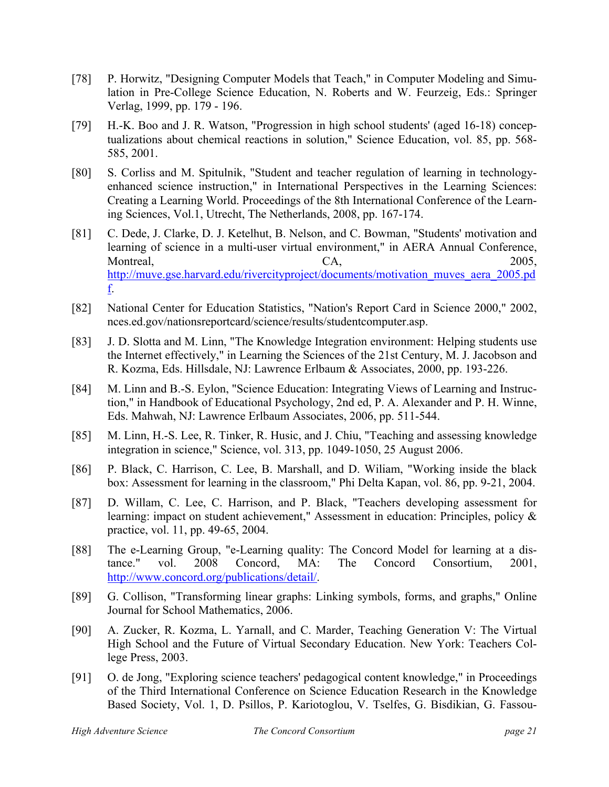- [78] P. Horwitz, "Designing Computer Models that Teach," in Computer Modeling and Simulation in Pre-College Science Education, N. Roberts and W. Feurzeig, Eds.: Springer Verlag, 1999, pp. 179 - 196.
- [79] H.-K. Boo and J. R. Watson, "Progression in high school students' (aged 16-18) conceptualizations about chemical reactions in solution," Science Education, vol. 85, pp. 568- 585, 2001.
- [80] S. Corliss and M. Spitulnik, "Student and teacher regulation of learning in technologyenhanced science instruction," in International Perspectives in the Learning Sciences: Creating a Learning World. Proceedings of the 8th International Conference of the Learning Sciences, Vol.1, Utrecht, The Netherlands, 2008, pp. 167-174.
- [81] C. Dede, J. Clarke, D. J. Ketelhut, B. Nelson, and C. Bowman, "Students' motivation and learning of science in a multi-user virtual environment," in AERA Annual Conference, Montreal, CA, 2005, http://muve.gse.harvard.edu/rivercityproject/documents/motivation\_muves\_aera\_2005.pd f.
- [82] National Center for Education Statistics, "Nation's Report Card in Science 2000," 2002, nces.ed.gov/nationsreportcard/science/results/studentcomputer.asp.
- [83] J. D. Slotta and M. Linn, "The Knowledge Integration environment: Helping students use the Internet effectively," in Learning the Sciences of the 21st Century, M. J. Jacobson and R. Kozma, Eds. Hillsdale, NJ: Lawrence Erlbaum & Associates, 2000, pp. 193-226.
- [84] M. Linn and B.-S. Eylon, "Science Education: Integrating Views of Learning and Instruction," in Handbook of Educational Psychology, 2nd ed, P. A. Alexander and P. H. Winne, Eds. Mahwah, NJ: Lawrence Erlbaum Associates, 2006, pp. 511-544.
- [85] M. Linn, H.-S. Lee, R. Tinker, R. Husic, and J. Chiu, "Teaching and assessing knowledge integration in science," Science, vol. 313, pp. 1049-1050, 25 August 2006.
- [86] P. Black, C. Harrison, C. Lee, B. Marshall, and D. Wiliam, "Working inside the black box: Assessment for learning in the classroom," Phi Delta Kapan, vol. 86, pp. 9-21, 2004.
- [87] D. Willam, C. Lee, C. Harrison, and P. Black, "Teachers developing assessment for learning: impact on student achievement," Assessment in education: Principles, policy & practice, vol. 11, pp. 49-65, 2004.
- [88] The e-Learning Group, "e-Learning quality: The Concord Model for learning at a distance." vol. 2008 Concord, MA: The Concord Consortium, 2001, http://www.concord.org/publications/detail/.
- [89] G. Collison, "Transforming linear graphs: Linking symbols, forms, and graphs," Online Journal for School Mathematics, 2006.
- [90] A. Zucker, R. Kozma, L. Yarnall, and C. Marder, Teaching Generation V: The Virtual High School and the Future of Virtual Secondary Education. New York: Teachers College Press, 2003.
- [91] O. de Jong, "Exploring science teachers' pedagogical content knowledge," in Proceedings of the Third International Conference on Science Education Research in the Knowledge Based Society, Vol. 1, D. Psillos, P. Kariotoglou, V. Tselfes, G. Bisdikian, G. Fassou-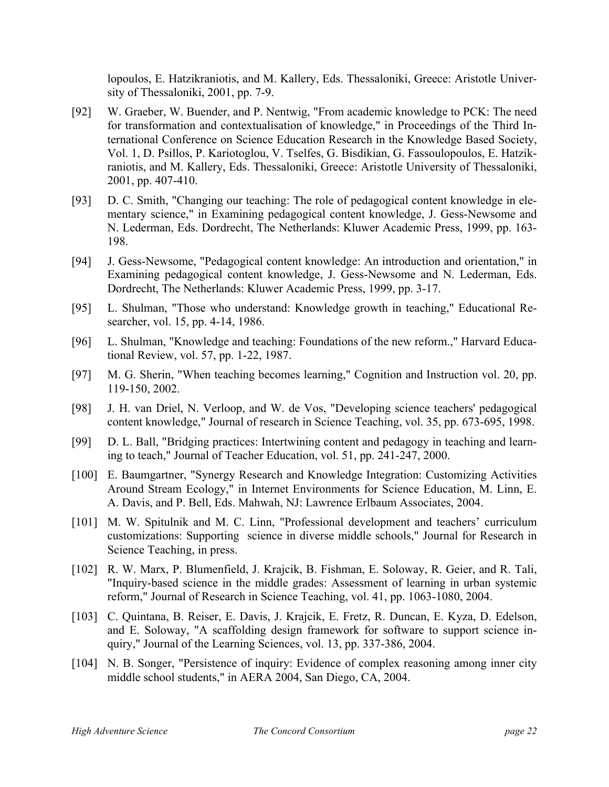lopoulos, E. Hatzikraniotis, and M. Kallery, Eds. Thessaloniki, Greece: Aristotle University of Thessaloniki, 2001, pp. 7-9.

- [92] W. Graeber, W. Buender, and P. Nentwig, "From academic knowledge to PCK: The need for transformation and contextualisation of knowledge," in Proceedings of the Third International Conference on Science Education Research in the Knowledge Based Society, Vol. 1, D. Psillos, P. Kariotoglou, V. Tselfes, G. Bisdikian, G. Fassoulopoulos, E. Hatzikraniotis, and M. Kallery, Eds. Thessaloniki, Greece: Aristotle University of Thessaloniki, 2001, pp. 407-410.
- [93] D. C. Smith, "Changing our teaching: The role of pedagogical content knowledge in elementary science," in Examining pedagogical content knowledge, J. Gess-Newsome and N. Lederman, Eds. Dordrecht, The Netherlands: Kluwer Academic Press, 1999, pp. 163- 198.
- [94] J. Gess-Newsome, "Pedagogical content knowledge: An introduction and orientation," in Examining pedagogical content knowledge, J. Gess-Newsome and N. Lederman, Eds. Dordrecht, The Netherlands: Kluwer Academic Press, 1999, pp. 3-17.
- [95] L. Shulman, "Those who understand: Knowledge growth in teaching," Educational Researcher, vol. 15, pp. 4-14, 1986.
- [96] L. Shulman, "Knowledge and teaching: Foundations of the new reform.," Harvard Educational Review, vol. 57, pp. 1-22, 1987.
- [97] M. G. Sherin, "When teaching becomes learning," Cognition and Instruction vol. 20, pp. 119-150, 2002.
- [98] J. H. van Driel, N. Verloop, and W. de Vos, "Developing science teachers' pedagogical content knowledge," Journal of research in Science Teaching, vol. 35, pp. 673-695, 1998.
- [99] D. L. Ball, "Bridging practices: Intertwining content and pedagogy in teaching and learning to teach," Journal of Teacher Education, vol. 51, pp. 241-247, 2000.
- [100] E. Baumgartner, "Synergy Research and Knowledge Integration: Customizing Activities Around Stream Ecology," in Internet Environments for Science Education, M. Linn, E. A. Davis, and P. Bell, Eds. Mahwah, NJ: Lawrence Erlbaum Associates, 2004.
- [101] M. W. Spitulnik and M. C. Linn, "Professional development and teachers' curriculum customizations: Supporting science in diverse middle schools," Journal for Research in Science Teaching, in press.
- [102] R. W. Marx, P. Blumenfield, J. Krajcik, B. Fishman, E. Soloway, R. Geier, and R. Tali, "Inquiry-based science in the middle grades: Assessment of learning in urban systemic reform," Journal of Research in Science Teaching, vol. 41, pp. 1063-1080, 2004.
- [103] C. Quintana, B. Reiser, E. Davis, J. Krajcik, E. Fretz, R. Duncan, E. Kyza, D. Edelson, and E. Soloway, "A scaffolding design framework for software to support science inquiry," Journal of the Learning Sciences, vol. 13, pp. 337-386, 2004.
- [104] N. B. Songer, "Persistence of inquiry: Evidence of complex reasoning among inner city middle school students," in AERA 2004, San Diego, CA, 2004.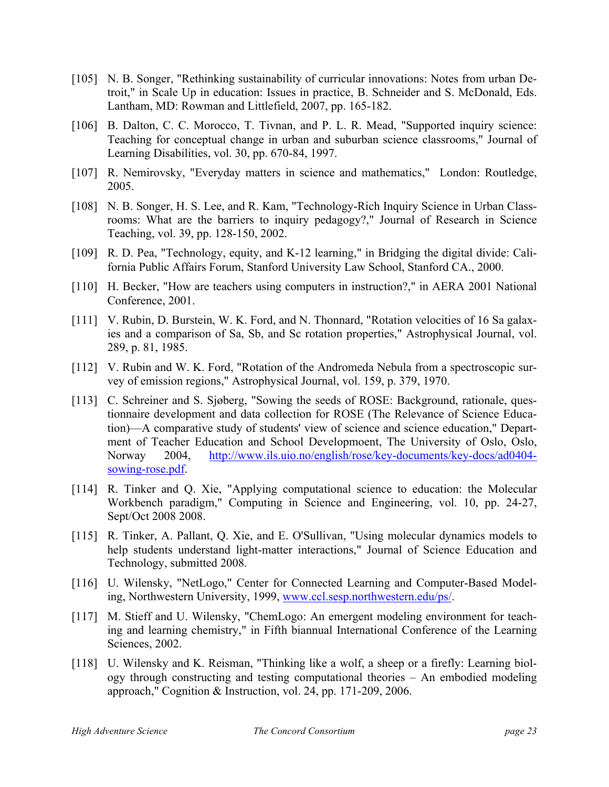- [105] N. B. Songer, "Rethinking sustainability of curricular innovations: Notes from urban Detroit," in Scale Up in education: Issues in practice, B. Schneider and S. McDonald, Eds. Lantham, MD: Rowman and Littlefield, 2007, pp. 165-182.
- [106] B. Dalton, C. C. Morocco, T. Tivnan, and P. L. R. Mead, "Supported inquiry science: Teaching for conceptual change in urban and suburban science classrooms," Journal of Learning Disabilities, vol. 30, pp. 670-84, 1997.
- [107] R. Nemirovsky, "Everyday matters in science and mathematics," London: Routledge, 2005.
- [108] N. B. Songer, H. S. Lee, and R. Kam, "Technology-Rich Inquiry Science in Urban Classrooms: What are the barriers to inquiry pedagogy?," Journal of Research in Science Teaching, vol. 39, pp. 128-150, 2002.
- [109] R. D. Pea, "Technology, equity, and K-12 learning," in Bridging the digital divide: California Public Affairs Forum, Stanford University Law School, Stanford CA., 2000.
- [110] H. Becker, "How are teachers using computers in instruction?," in AERA 2001 National Conference, 2001.
- [111] V. Rubin, D. Burstein, W. K. Ford, and N. Thonnard, "Rotation velocities of 16 Sa galaxies and a comparison of Sa, Sb, and Sc rotation properties," Astrophysical Journal, vol. 289, p. 81, 1985.
- [112] V. Rubin and W. K. Ford, "Rotation of the Andromeda Nebula from a spectroscopic survey of emission regions," Astrophysical Journal, vol. 159, p. 379, 1970.
- [113] C. Schreiner and S. Sjøberg, "Sowing the seeds of ROSE: Background, rationale, questionnaire development and data collection for ROSE (The Relevance of Science Education)—A comparative study of students' view of science and science education," Department of Teacher Education and School Developmoent, The University of Oslo, Oslo, Norway 2004, http://www.ils.uio.no/english/rose/key-documents/key-docs/ad0404 sowing-rose.pdf.
- [114] R. Tinker and Q. Xie, "Applying computational science to education: the Molecular Workbench paradigm," Computing in Science and Engineering, vol. 10, pp. 24-27, Sept/Oct 2008 2008.
- [115] R. Tinker, A. Pallant, Q. Xie, and E. O'Sullivan, "Using molecular dynamics models to help students understand light-matter interactions," Journal of Science Education and Technology, submitted 2008.
- [116] U. Wilensky, "NetLogo," Center for Connected Learning and Computer-Based Modeling, Northwestern University, 1999, www.ccl.sesp.northwestern.edu/ps/.
- [117] M. Stieff and U. Wilensky, "ChemLogo: An emergent modeling environment for teaching and learning chemistry," in Fifth biannual International Conference of the Learning Sciences, 2002.
- [118] U. Wilensky and K. Reisman, "Thinking like a wolf, a sheep or a firefly: Learning biology through constructing and testing computational theories – An embodied modeling approach," Cognition & Instruction, vol. 24, pp. 171-209, 2006.